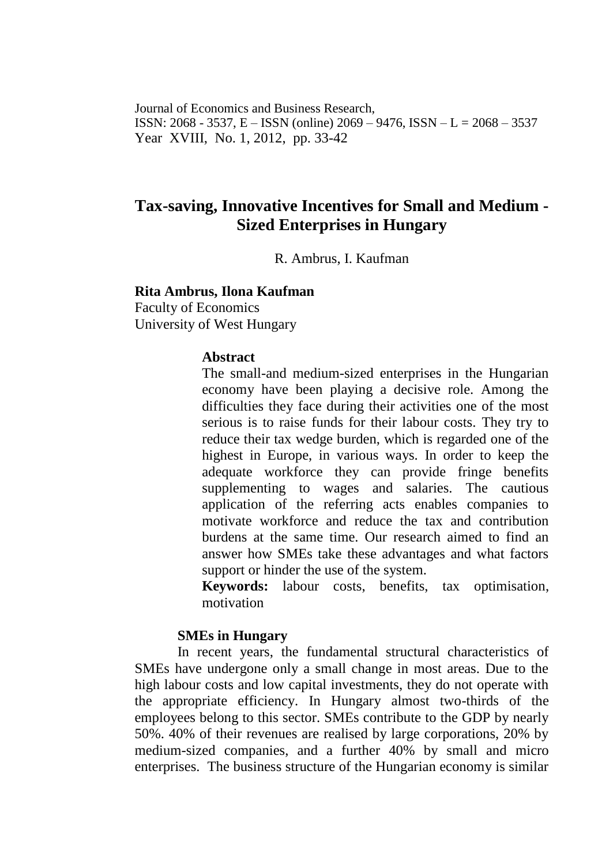Journal of Economics and Business Research, ISSN: 2068 - 3537, E – ISSN (online) 2069 – 9476, ISSN – L = 2068 – 3537 Year XVIII, No. 1, 2012, pp. 33-42

# **Tax-saving, Innovative Incentives for Small and Medium - Sized Enterprises in Hungary**

R. Ambrus, I. Kaufman

### **Rita Ambrus, Ilona Kaufman**

Faculty of Economics University of West Hungary

### **Abstract**

The small-and medium-sized enterprises in the Hungarian economy have been playing a decisive role. Among the difficulties they face during their activities one of the most serious is to raise funds for their labour costs. They try to reduce their tax wedge burden, which is regarded one of the highest in Europe, in various ways. In order to keep the adequate workforce they can provide fringe benefits supplementing to wages and salaries. The cautious application of the referring acts enables companies to motivate workforce and reduce the tax and contribution burdens at the same time. Our research aimed to find an answer how SMEs take these advantages and what factors support or hinder the use of the system.

**Keywords:** labour costs, benefits, tax optimisation, motivation

# **SMEs in Hungary**

In recent years, the fundamental structural characteristics of SMEs have undergone only a small change in most areas. Due to the high labour costs and low capital investments, they do not operate with the appropriate efficiency. In Hungary almost two-thirds of the employees belong to this sector. SMEs contribute to the GDP by nearly 50%. 40% of their revenues are realised by large corporations, 20% by medium-sized companies, and a further 40% by small and micro enterprises. The business structure of the Hungarian economy is similar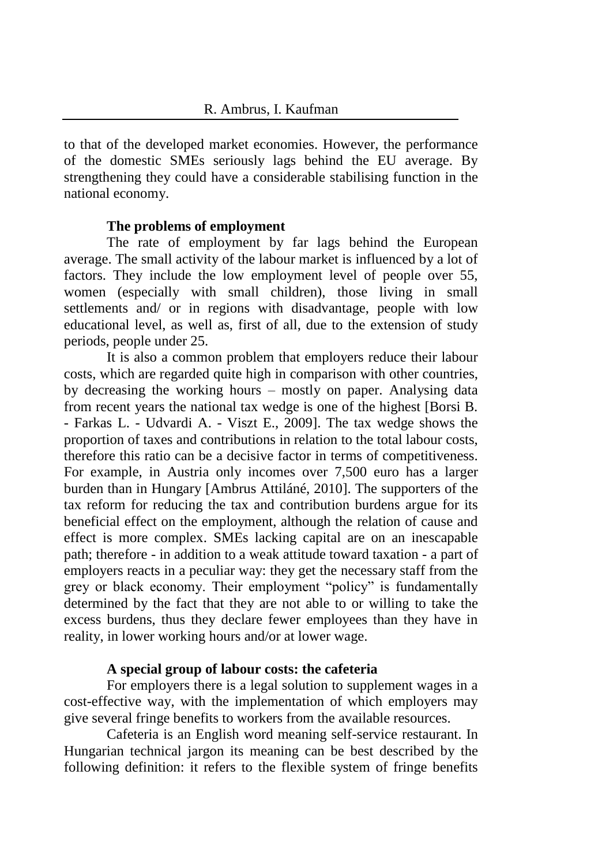to that of the developed market economies. However, the performance of the domestic SMEs seriously lags behind the EU average. By strengthening they could have a considerable stabilising function in the national economy.

# **The problems of employment**

The rate of employment by far lags behind the European average. The small activity of the labour market is influenced by a lot of factors. They include the low employment level of people over 55, women (especially with small children), those living in small settlements and/ or in regions with disadvantage, people with low educational level, as well as, first of all, due to the extension of study periods, people under 25.

It is also a common problem that employers reduce their labour costs, which are regarded quite high in comparison with other countries, by decreasing the working hours – mostly on paper. Analysing data from recent years the national tax wedge is one of the highest [Borsi B. - Farkas L. - Udvardi A. - Viszt E., 2009]. The tax wedge shows the proportion of taxes and contributions in relation to the total labour costs, therefore this ratio can be a decisive factor in terms of competitiveness. For example, in Austria only incomes over 7,500 euro has a larger burden than in Hungary [Ambrus Attiláné, 2010]. The supporters of the tax reform for reducing the tax and contribution burdens argue for its beneficial effect on the employment, although the relation of cause and effect is more complex. SMEs lacking capital are on an inescapable path; therefore - in addition to a weak attitude toward taxation - a part of employers reacts in a peculiar way: they get the necessary staff from the grey or black economy. Their employment "policy" is fundamentally determined by the fact that they are not able to or willing to take the excess burdens, thus they declare fewer employees than they have in reality, in lower working hours and/or at lower wage.

# **A special group of labour costs: the cafeteria**

For employers there is a legal solution to supplement wages in a cost-effective way, with the implementation of which employers may give several fringe benefits to workers from the available resources.

Cafeteria is an English word meaning self-service restaurant. In Hungarian technical jargon its meaning can be best described by the following definition: it refers to the flexible system of fringe benefits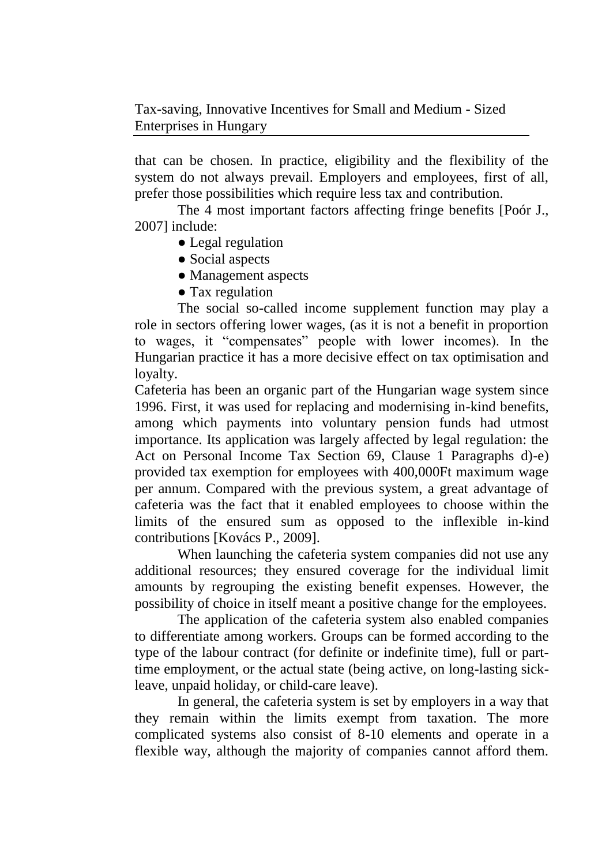that can be chosen. In practice, eligibility and the flexibility of the system do not always prevail. Employers and employees, first of all, prefer those possibilities which require less tax and contribution.

The 4 most important factors affecting fringe benefits [Poór J., 2007] include:

- Legal regulation
- Social aspects
- Management aspects
- Tax regulation

The social so-called income supplement function may play a role in sectors offering lower wages, (as it is not a benefit in proportion to wages, it "compensates" people with lower incomes). In the Hungarian practice it has a more decisive effect on tax optimisation and loyalty.

Cafeteria has been an organic part of the Hungarian wage system since 1996. First, it was used for replacing and modernising in-kind benefits, among which payments into voluntary pension funds had utmost importance. Its application was largely affected by legal regulation: the Act on Personal Income Tax Section 69, Clause 1 Paragraphs d)-e) provided tax exemption for employees with 400,000Ft maximum wage per annum. Compared with the previous system, a great advantage of cafeteria was the fact that it enabled employees to choose within the limits of the ensured sum as opposed to the inflexible in-kind contributions [Kovács P., 2009].

When launching the cafeteria system companies did not use any additional resources; they ensured coverage for the individual limit amounts by regrouping the existing benefit expenses. However, the possibility of choice in itself meant a positive change for the employees.

The application of the cafeteria system also enabled companies to differentiate among workers. Groups can be formed according to the type of the labour contract (for definite or indefinite time), full or parttime employment, or the actual state (being active, on long-lasting sickleave, unpaid holiday, or child-care leave).

In general, the cafeteria system is set by employers in a way that they remain within the limits exempt from taxation. The more complicated systems also consist of 8-10 elements and operate in a flexible way, although the majority of companies cannot afford them.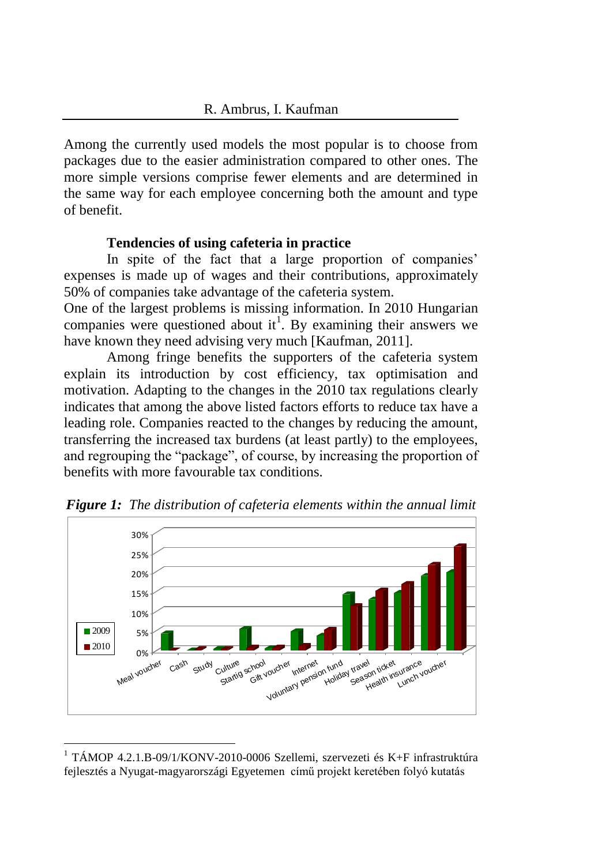Among the currently used models the most popular is to choose from packages due to the easier administration compared to other ones. The more simple versions comprise fewer elements and are determined in the same way for each employee concerning both the amount and type of benefit.

# **Tendencies of using cafeteria in practice**

In spite of the fact that a large proportion of companies' expenses is made up of wages and their contributions, approximately 50% of companies take advantage of the cafeteria system.

One of the largest problems is missing information. In 2010 Hungarian companies were questioned about it<sup>1</sup>. By examining their answers we have known they need advising very much [Kaufman, 2011].

Among fringe benefits the supporters of the cafeteria system explain its introduction by cost efficiency, tax optimisation and motivation. Adapting to the changes in the 2010 tax regulations clearly indicates that among the above listed factors efforts to reduce tax have a leading role. Companies reacted to the changes by reducing the amount, transferring the increased tax burdens (at least partly) to the employees, and regrouping the "package", of course, by increasing the proportion of benefits with more favourable tax conditions.



*Figure 1: The distribution of cafeteria elements within the annual limit* 

 $\overline{a}$ 

<sup>&</sup>lt;sup>1</sup> TÁMOP 4.2.1.B-09/1/KONV-2010-0006 Szellemi, szervezeti és K+F infrastruktúra fejlesztés a Nyugat-magyarországi Egyetemen című projekt keretében folyó kutatás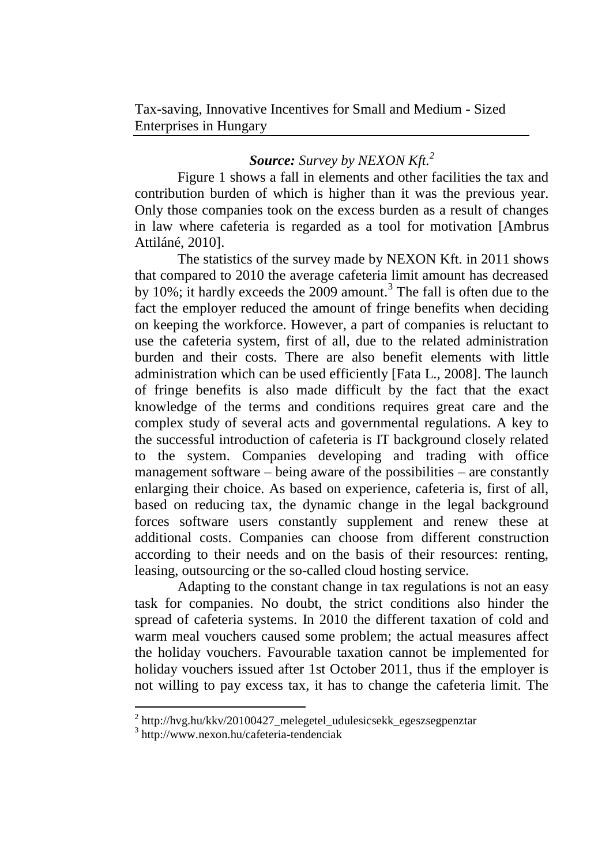# *Source: Survey by NEXON Kft.<sup>2</sup>*

Figure 1 shows a fall in elements and other facilities the tax and contribution burden of which is higher than it was the previous year. Only those companies took on the excess burden as a result of changes in law where cafeteria is regarded as a tool for motivation [Ambrus Attiláné, 2010].

The statistics of the survey made by NEXON Kft. in 2011 shows that compared to 2010 the average cafeteria limit amount has decreased by 10%; it hardly exceeds the  $2009$  amount.<sup>3</sup> The fall is often due to the fact the employer reduced the amount of fringe benefits when deciding on keeping the workforce. However, a part of companies is reluctant to use the cafeteria system, first of all, due to the related administration burden and their costs. There are also benefit elements with little administration which can be used efficiently [Fata L., 2008]. The launch of fringe benefits is also made difficult by the fact that the exact knowledge of the terms and conditions requires great care and the complex study of several acts and governmental regulations. A key to the successful introduction of cafeteria is IT background closely related to the system. Companies developing and trading with office management software – being aware of the possibilities – are constantly enlarging their choice. As based on experience, cafeteria is, first of all, based on reducing tax, the dynamic change in the legal background forces software users constantly supplement and renew these at additional costs. Companies can choose from different construction according to their needs and on the basis of their resources: renting, leasing, outsourcing or the so-called cloud hosting service.

Adapting to the constant change in tax regulations is not an easy task for companies. No doubt, the strict conditions also hinder the spread of cafeteria systems. In 2010 the different taxation of cold and warm meal vouchers caused some problem; the actual measures affect the holiday vouchers. Favourable taxation cannot be implemented for holiday vouchers issued after 1st October 2011, thus if the employer is not willing to pay excess tax, it has to change the cafeteria limit. The

 $\overline{a}$ 

<sup>&</sup>lt;sup>2</sup> [http://hvg.hu/kkv/20100427\\_melegetel\\_udulesicsekk\\_egeszsegpenztar](http://hvg.hu/kkv/20100427_melegetel_udulesicsekk_egeszsegpenztar)

<sup>3</sup> http://www.nexon.hu/cafeteria-tendenciak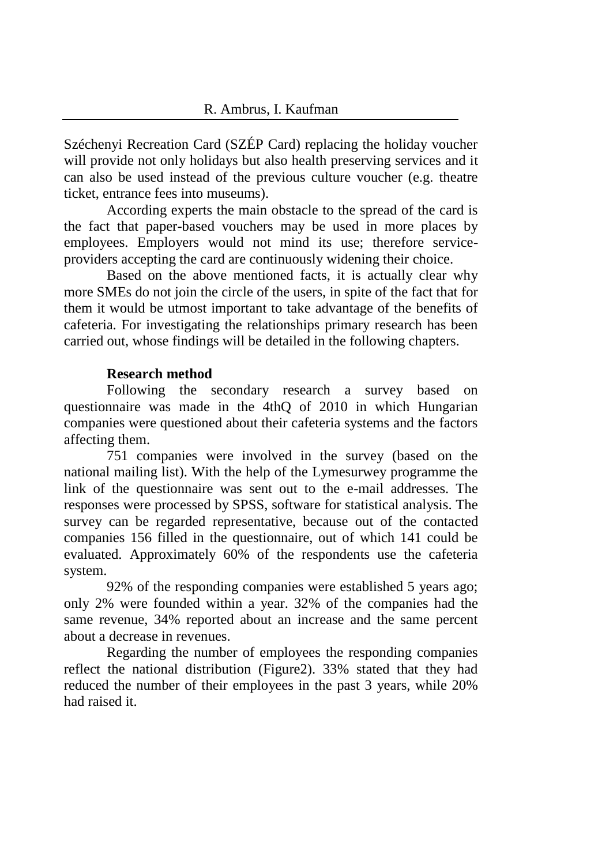Széchenyi Recreation Card (SZÉP Card) replacing the holiday voucher will provide not only holidays but also health preserving services and it can also be used instead of the previous culture voucher (e.g. theatre ticket, entrance fees into museums).

According experts the main obstacle to the spread of the card is the fact that paper-based vouchers may be used in more places by employees. Employers would not mind its use; therefore serviceproviders accepting the card are continuously widening their choice.

Based on the above mentioned facts, it is actually clear why more SMEs do not join the circle of the users, in spite of the fact that for them it would be utmost important to take advantage of the benefits of cafeteria. For investigating the relationships primary research has been carried out, whose findings will be detailed in the following chapters.

# **Research method**

Following the secondary research a survey based on questionnaire was made in the 4thQ of 2010 in which Hungarian companies were questioned about their cafeteria systems and the factors affecting them.

751 companies were involved in the survey (based on the national mailing list). With the help of the Lymesurwey programme the link of the questionnaire was sent out to the e-mail addresses. The responses were processed by SPSS, software for statistical analysis. The survey can be regarded representative, because out of the contacted companies 156 filled in the questionnaire, out of which 141 could be evaluated. Approximately 60% of the respondents use the cafeteria system.

92% of the responding companies were established 5 years ago; only 2% were founded within a year. 32% of the companies had the same revenue, 34% reported about an increase and the same percent about a decrease in revenues.

Regarding the number of employees the responding companies reflect the national distribution (Figure2). 33% stated that they had reduced the number of their employees in the past 3 years, while 20% had raised it.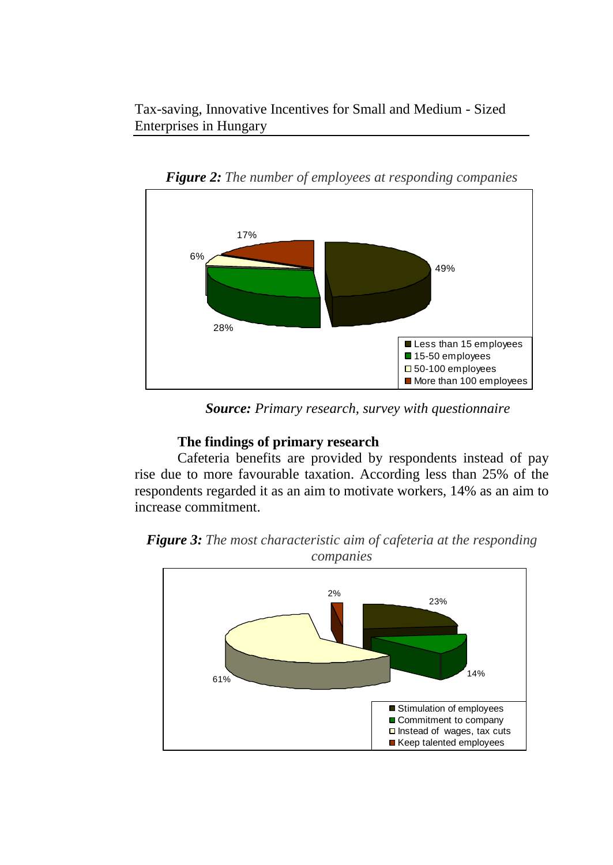Tax-saving, Innovative Incentives for Small and Medium - Sized Enterprises in Hungary



*Figure 2: The number of employees at responding companies*

*Source: Primary research, survey with questionnaire*

# **The findings of primary research**

Cafeteria benefits are provided by respondents instead of pay rise due to more favourable taxation. According less than 25% of the respondents regarded it as an aim to motivate workers, 14% as an aim to increase commitment.



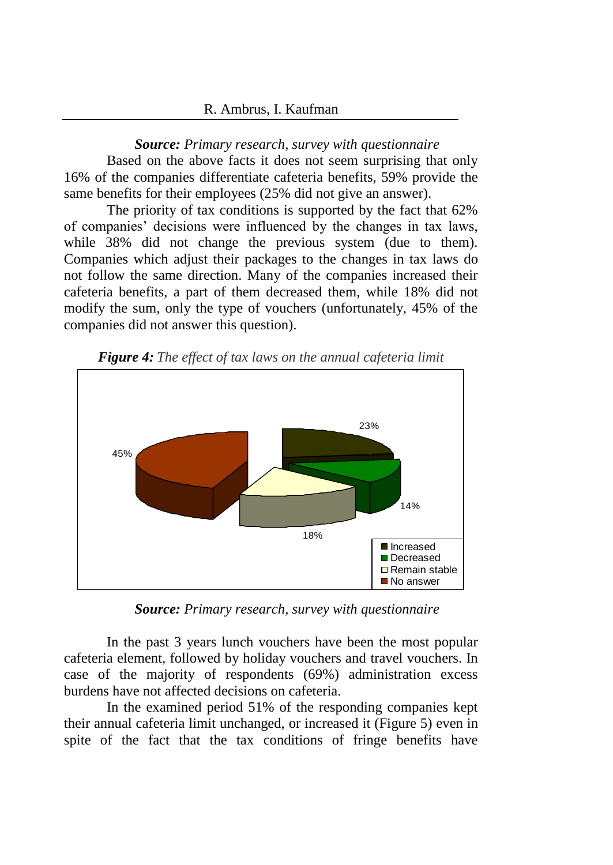#### R. Ambrus, I. Kaufman

#### *Source: Primary research, survey with questionnaire*

Based on the above facts it does not seem surprising that only 16% of the companies differentiate cafeteria benefits, 59% provide the same benefits for their employees (25% did not give an answer).

The priority of tax conditions is supported by the fact that 62% of companies' decisions were influenced by the changes in tax laws, while 38% did not change the previous system (due to them). Companies which adjust their packages to the changes in tax laws do not follow the same direction. Many of the companies increased their cafeteria benefits, a part of them decreased them, while 18% did not modify the sum, only the type of vouchers (unfortunately, 45% of the companies did not answer this question).



*Figure 4: The effect of tax laws on the annual cafeteria limit* 

*Source: Primary research, survey with questionnaire*

In the past 3 years lunch vouchers have been the most popular cafeteria element, followed by holiday vouchers and travel vouchers. In case of the majority of respondents (69%) administration excess burdens have not affected decisions on cafeteria.

In the examined period 51% of the responding companies kept their annual cafeteria limit unchanged, or increased it (Figure 5) even in spite of the fact that the tax conditions of fringe benefits have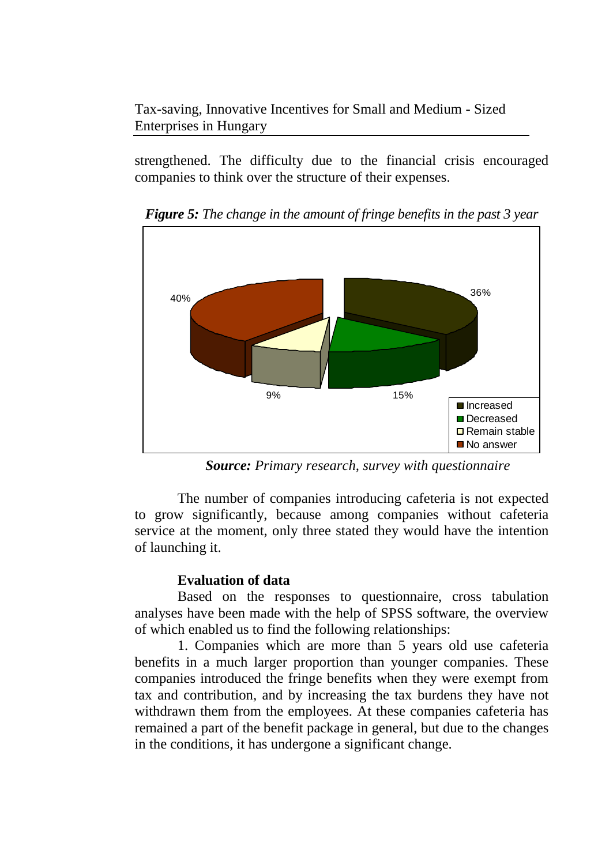Tax-saving, Innovative Incentives for Small and Medium - Sized Enterprises in Hungary

strengthened. The difficulty due to the financial crisis encouraged companies to think over the structure of their expenses.



*Figure 5: The change in the amount of fringe benefits in the past 3 year*

*Source: Primary research, survey with questionnaire*

The number of companies introducing cafeteria is not expected to grow significantly, because among companies without cafeteria service at the moment, only three stated they would have the intention of launching it.

# **Evaluation of data**

Based on the responses to questionnaire, cross tabulation analyses have been made with the help of SPSS software, the overview of which enabled us to find the following relationships:

1. Companies which are more than 5 years old use cafeteria benefits in a much larger proportion than younger companies. These companies introduced the fringe benefits when they were exempt from tax and contribution, and by increasing the tax burdens they have not withdrawn them from the employees. At these companies cafeteria has remained a part of the benefit package in general, but due to the changes in the conditions, it has undergone a significant change.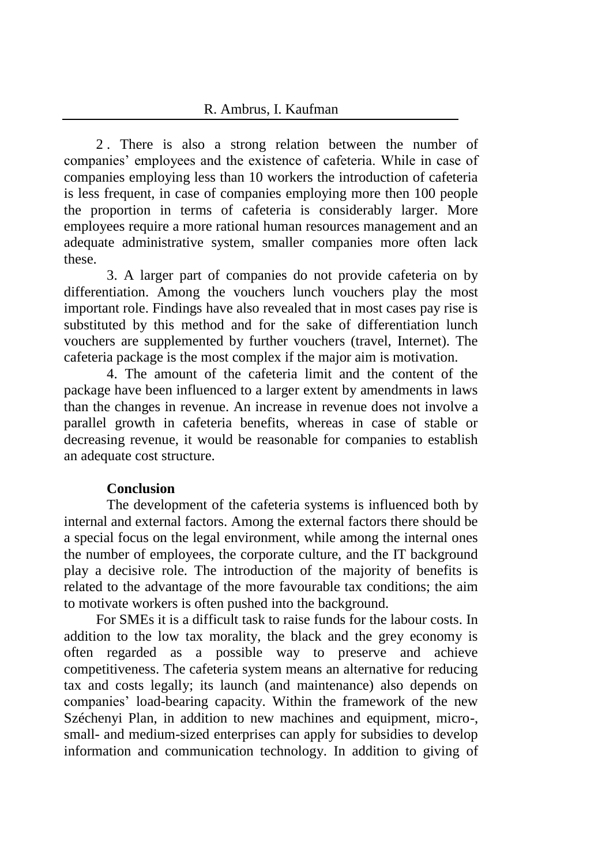### R. Ambrus, I. Kaufman

2 . There is also a strong relation between the number of companies' employees and the existence of cafeteria. While in case of companies employing less than 10 workers the introduction of cafeteria is less frequent, in case of companies employing more then 100 people the proportion in terms of cafeteria is considerably larger. More employees require a more rational human resources management and an adequate administrative system, smaller companies more often lack these.

3. A larger part of companies do not provide cafeteria on by differentiation. Among the vouchers lunch vouchers play the most important role. Findings have also revealed that in most cases pay rise is substituted by this method and for the sake of differentiation lunch vouchers are supplemented by further vouchers (travel, Internet). The cafeteria package is the most complex if the major aim is motivation.

4. The amount of the cafeteria limit and the content of the package have been influenced to a larger extent by amendments in laws than the changes in revenue. An increase in revenue does not involve a parallel growth in cafeteria benefits, whereas in case of stable or decreasing revenue, it would be reasonable for companies to establish an adequate cost structure.

### **Conclusion**

The development of the cafeteria systems is influenced both by internal and external factors. Among the external factors there should be a special focus on the legal environment, while among the internal ones the number of employees, the corporate culture, and the IT background play a decisive role. The introduction of the majority of benefits is related to the advantage of the more favourable tax conditions; the aim to motivate workers is often pushed into the background.

For SMEs it is a difficult task to raise funds for the labour costs. In addition to the low tax morality, the black and the grey economy is often regarded as a possible way to preserve and achieve competitiveness. The cafeteria system means an alternative for reducing tax and costs legally; its launch (and maintenance) also depends on companies' load-bearing capacity. Within the framework of the new Széchenyi Plan, in addition to new machines and equipment, micro-, small- and medium-sized enterprises can apply for subsidies to develop information and communication technology. In addition to giving of